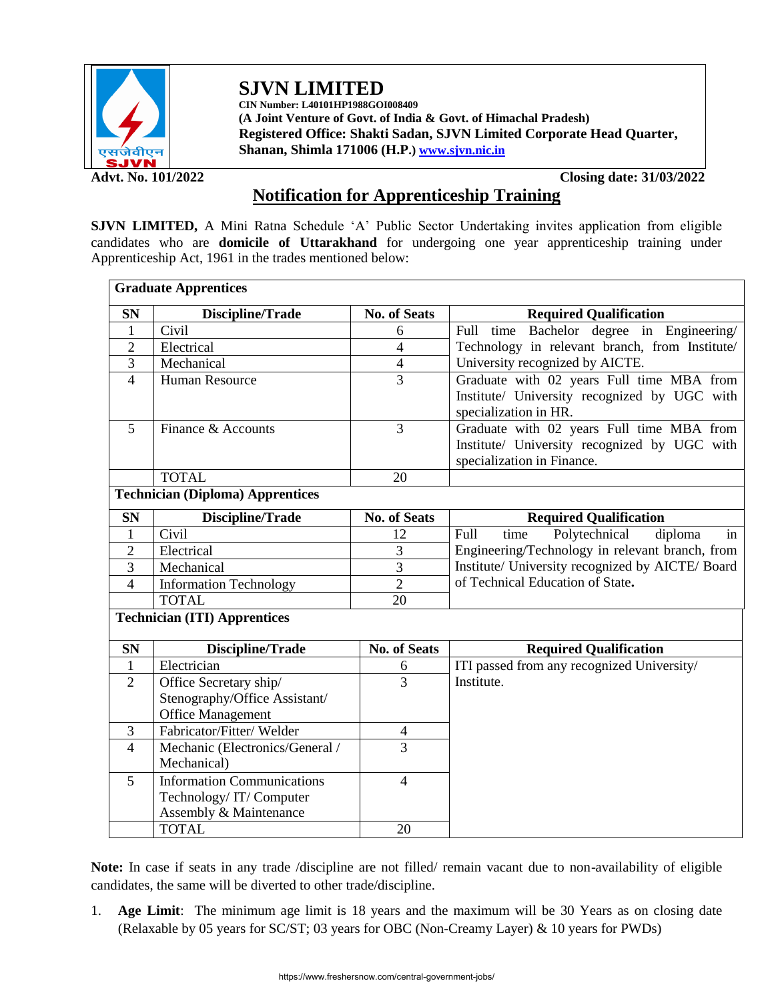

**SJVN LIMITED CIN Number: L40101HP1988GOI008409**

**(A Joint Venture of Govt. of India & Govt. of Himachal Pradesh) Registered Office: Shakti Sadan, SJVN Limited Corporate Head Quarter, Shanan, Shimla 171006 (H.P.[\) www.sjvn.nic.in](http://www.sjvn.nic.in/)**

**Advt. No. 101/2022 Closing date: 31/03/2022**

# **Notification for Apprenticeship Training**

**SJVN LIMITED,** A Mini Ratna Schedule 'A' Public Sector Undertaking invites application from eligible candidates who are **domicile of Uttarakhand** for undergoing one year apprenticeship training under Apprenticeship Act, 1961 in the trades mentioned below:

| <b>Graduate Apprentices</b>             |                                   |                     |                                                  |  |  |  |
|-----------------------------------------|-----------------------------------|---------------------|--------------------------------------------------|--|--|--|
| <b>SN</b>                               | Discipline/Trade                  | <b>No. of Seats</b> | <b>Required Qualification</b>                    |  |  |  |
| $\mathbf{1}$                            | Civil                             | 6                   | Full time Bachelor degree in Engineering/        |  |  |  |
| $\overline{2}$                          | Electrical                        | $\overline{4}$      | Technology in relevant branch, from Institute/   |  |  |  |
| 3                                       | Mechanical                        | $\overline{4}$      | University recognized by AICTE.                  |  |  |  |
| $\overline{4}$                          | Human Resource                    | $\overline{3}$      | Graduate with 02 years Full time MBA from        |  |  |  |
|                                         |                                   |                     | Institute/ University recognized by UGC with     |  |  |  |
|                                         |                                   |                     | specialization in HR.                            |  |  |  |
| 5                                       | Finance & Accounts                | $\overline{3}$      | Graduate with 02 years Full time MBA from        |  |  |  |
|                                         |                                   |                     | Institute/ University recognized by UGC with     |  |  |  |
|                                         | <b>TOTAL</b>                      | 20                  | specialization in Finance.                       |  |  |  |
|                                         |                                   |                     |                                                  |  |  |  |
| <b>Technician (Diploma) Apprentices</b> |                                   |                     |                                                  |  |  |  |
| <b>SN</b>                               | Discipline/Trade                  | <b>No. of Seats</b> | <b>Required Qualification</b>                    |  |  |  |
| 1                                       | Civil                             | 12                  | time<br>Polytechnical<br>diploma<br>Full<br>in   |  |  |  |
| $\overline{2}$                          | Electrical                        | 3                   | Engineering/Technology in relevant branch, from  |  |  |  |
| 3                                       | Mechanical                        | $\overline{3}$      | Institute/ University recognized by AICTE/ Board |  |  |  |
| $\overline{4}$                          | <b>Information Technology</b>     | $\overline{2}$      | of Technical Education of State.                 |  |  |  |
|                                         | <b>TOTAL</b>                      | 20                  |                                                  |  |  |  |
| <b>Technician (ITI) Apprentices</b>     |                                   |                     |                                                  |  |  |  |
| <b>SN</b>                               | Discipline/Trade                  | <b>No. of Seats</b> | <b>Required Qualification</b>                    |  |  |  |
| $\mathbf{1}$                            | Electrician                       | 6                   | ITI passed from any recognized University/       |  |  |  |
| 2                                       | Office Secretary ship/            | 3                   | Institute.                                       |  |  |  |
|                                         | Stenography/Office Assistant/     |                     |                                                  |  |  |  |
|                                         | <b>Office Management</b>          |                     |                                                  |  |  |  |
| 3                                       | Fabricator/Fitter/Welder          | 4                   |                                                  |  |  |  |
| $\overline{4}$                          | Mechanic (Electronics/General /   | $\overline{3}$      |                                                  |  |  |  |
|                                         | Mechanical)                       |                     |                                                  |  |  |  |
| 5                                       | <b>Information Communications</b> | $\overline{4}$      |                                                  |  |  |  |
|                                         | Technology/IT/Computer            |                     |                                                  |  |  |  |
|                                         | Assembly & Maintenance            |                     |                                                  |  |  |  |
|                                         | <b>TOTAL</b>                      | 20                  |                                                  |  |  |  |

**Note:** In case if seats in any trade /discipline are not filled/ remain vacant due to non-availability of eligible candidates, the same will be diverted to other trade/discipline.

1. **Age Limit**: The minimum age limit is 18 years and the maximum will be 30 Years as on closing date (Relaxable by 05 years for SC/ST; 03 years for OBC (Non-Creamy Layer) & 10 years for PWDs)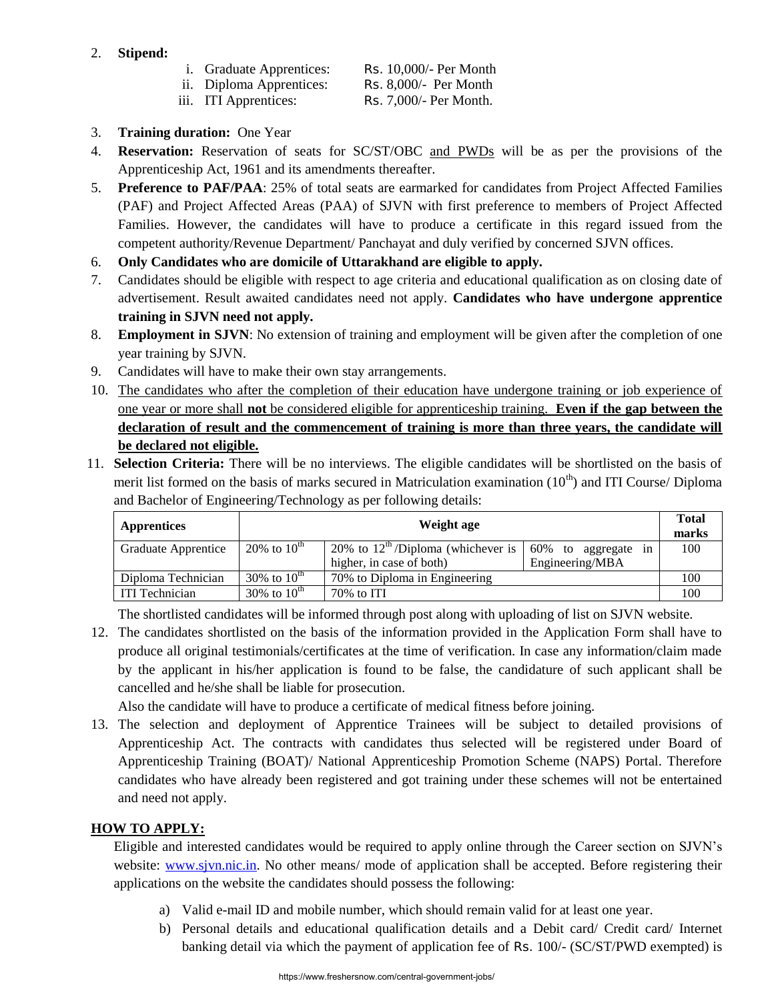## 2. **Stipend:**

- i. Graduate Apprentices: Rs. 10,000/- Per Month
- ii. Diploma Apprentices: Rs. 8,000/- Per Month

- iii. ITI Apprentices: Rs. 7,000/- Per Month.
- 
- 3. **Training duration:** One Year
- 4. **Reservation:** Reservation of seats for SC/ST/OBC and PWDs will be as per the provisions of the Apprenticeship Act, 1961 and its amendments thereafter.
- 5. **Preference to PAF/PAA**: 25% of total seats are earmarked for candidates from Project Affected Families (PAF) and Project Affected Areas (PAA) of SJVN with first preference to members of Project Affected Families. However, the candidates will have to produce a certificate in this regard issued from the competent authority/Revenue Department/ Panchayat and duly verified by concerned SJVN offices.
- 6. **Only Candidates who are domicile of Uttarakhand are eligible to apply.**
- 7. Candidates should be eligible with respect to age criteria and educational qualification as on closing date of advertisement. Result awaited candidates need not apply. **Candidates who have undergone apprentice training in SJVN need not apply.**
- 8. **Employment in SJVN**: No extension of training and employment will be given after the completion of one year training by SJVN.
- 9. Candidates will have to make their own stay arrangements.
- 10. The candidates who after the completion of their education have undergone training or job experience of one year or more shall **not** be considered eligible for apprenticeship training. **Even if the gap between the declaration of result and the commencement of training is more than three years, the candidate will be declared not eligible.**
- 11. **Selection Criteria:** There will be no interviews. The eligible candidates will be shortlisted on the basis of merit list formed on the basis of marks secured in Matriculation examination  $(10<sup>th</sup>)$  and ITI Course/ Diploma and Bachelor of Engineering/Technology as per following details:

| <b>Apprentices</b>                                                      | Weight age       |                                                |                            |     |
|-------------------------------------------------------------------------|------------------|------------------------------------------------|----------------------------|-----|
| Graduate Apprentice                                                     | 20% to $10^{th}$ | 20% to $12^{\text{th}}$ /Diploma (whichever is | 60% to aggregate<br>$1n$ . | 100 |
|                                                                         |                  | higher, in case of both)                       | Engineering/MBA            |     |
| 30% to $10^{th}$<br>70% to Diploma in Engineering<br>Diploma Technician |                  |                                                | 100                        |     |
| 30% to $10^{th}$<br><b>ITI Technician</b><br>$70\%$ to ITI              |                  |                                                | 100                        |     |

The shortlisted candidates will be informed through post along with uploading of list on SJVN website.

12. The candidates shortlisted on the basis of the information provided in the Application Form shall have to produce all original testimonials/certificates at the time of verification. In case any information/claim made by the applicant in his/her application is found to be false, the candidature of such applicant shall be cancelled and he/she shall be liable for prosecution.

Also the candidate will have to produce a certificate of medical fitness before joining.

13. The selection and deployment of Apprentice Trainees will be subject to detailed provisions of Apprenticeship Act. The contracts with candidates thus selected will be registered under Board of Apprenticeship Training (BOAT)/ National Apprenticeship Promotion Scheme (NAPS) Portal. Therefore candidates who have already been registered and got training under these schemes will not be entertained and need not apply.

# **HOW TO APPLY:**

Eligible and interested candidates would be required to apply online through the Career section on SJVN's website: www.sjyn.nic.in. No other means/ mode of application shall be accepted. Before registering their applications on the website the candidates should possess the following:

- a) Valid e-mail ID and mobile number, which should remain valid for at least one year.
- b) Personal details and educational qualification details and a Debit card/ Credit card/ Internet banking detail via which the payment of application fee of Rs. 100/- (SC/ST/PWD exempted) is